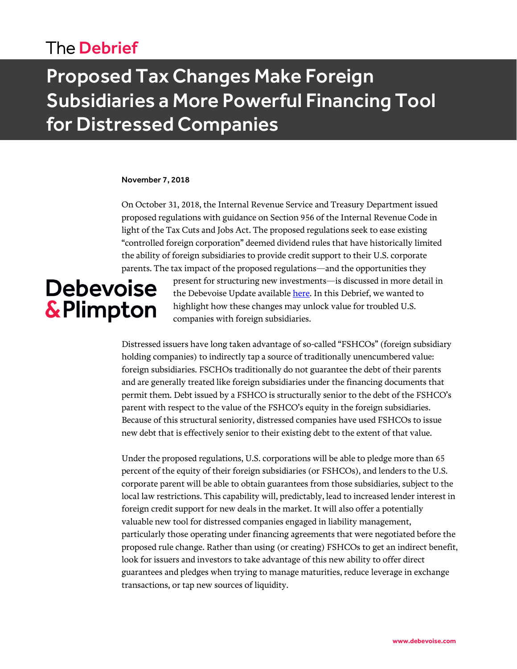### The Debrief

# Proposed Tax Changes Make Foreign Subsidiaries a More Powerful Financing Tool for Distressed Companies

#### November 7, 2018

On October 31, 2018, the Internal Revenue Service and Treasury Department issued proposed regulations with guidance on Section 956 of the Internal Revenue Code in light of the Tax Cuts and Jobs Act. The proposed regulations seek to ease existing "controlled foreign corporation" deemed dividend rules that have historically limited the ability of foreign subsidiaries to provide credit support to their U.S. corporate parents. The tax impact of the proposed regulations—and the opportunities they

# **Debevoise** & Plimpton

present for structuring new investments—is discussed in more detail in the Debevoise Update available [here.](https://www.debevoise.com/~/media/files/insights/publications/2018/11/20181106_proposed_tax_regulations_may_allow_foreign_assets_to_serve_as_credit_support.pdf) In this Debrief, we wanted to highlight how these changes may unlock value for troubled U.S. companies with foreign subsidiaries.

Distressed issuers have long taken advantage of so-called "FSHCOs" (foreign subsidiary holding companies) to indirectly tap a source of traditionally unencumbered value: foreign subsidiaries. FSCHOs traditionally do not guarantee the debt of their parents and are generally treated like foreign subsidiaries under the financing documents that permit them. Debt issued by a FSHCO is structurally senior to the debt of the FSHCO's parent with respect to the value of the FSHCO's equity in the foreign subsidiaries. Because of this structural seniority, distressed companies have used FSHCOs to issue new debt that is effectively senior to their existing debt to the extent of that value.

Under the proposed regulations, U.S. corporations will be able to pledge more than 65 percent of the equity of their foreign subsidiaries (or FSHCOs), and lenders to the U.S. corporate parent will be able to obtain guarantees from those subsidiaries, subject to the local law restrictions. This capability will, predictably, lead to increased lender interest in foreign credit support for new deals in the market. It will also offer a potentially valuable new tool for distressed companies engaged in liability management, particularly those operating under financing agreements that were negotiated before the proposed rule change. Rather than using (or creating) FSHCOs to get an indirect benefit, look for issuers and investors to take advantage of this new ability to offer direct guarantees and pledges when trying to manage maturities, reduce leverage in exchange transactions, or tap new sources of liquidity.